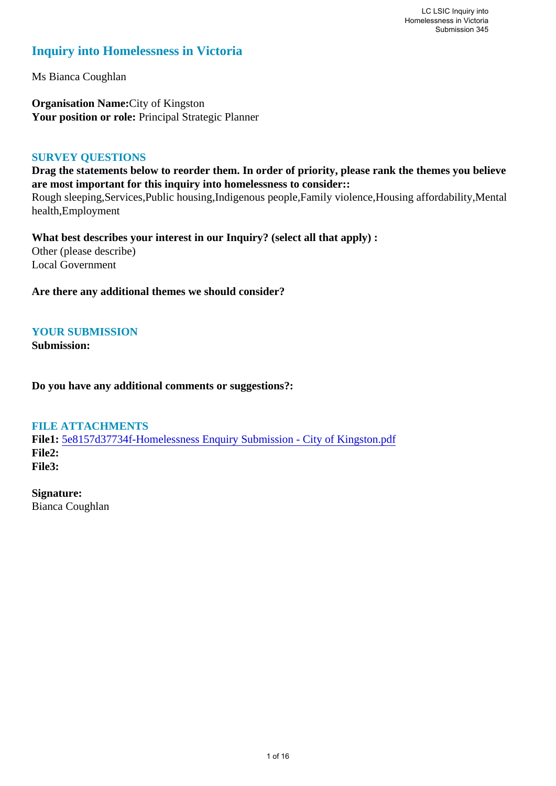# **Inquiry into Homelessness in Victoria**

Ms Bianca Coughlan

**Organisation Name:**City of Kingston Your position or role: Principal Strategic Planner

# **SURVEY QUESTIONS**

**Drag the statements below to reorder them. In order of priority, please rank the themes you believe are most important for this inquiry into homelessness to consider::** 

Rough sleeping,Services,Public housing,Indigenous people,Family violence,Housing affordability,Mental health,Employment

**What best describes your interest in our Inquiry? (select all that apply) :**  Other (please describe) Local Government

**Are there any additional themes we should consider?**

# **YOUR SUBMISSION**

**Submission:** 

**Do you have any additional comments or suggestions?:** 

# **FILE ATTACHMENTS**

**File1:** [5e8157d37734f-Homelessness Enquiry Submission - City of Kingston.pdf](https://www.parliament.vic.gov.au/component/rsform/submission-view-file/932c7b43cd6d83518b4c8ba0ec2def09/9f61ea8941f1ddc17591883ee745bff5?Itemid=527) **File2: File3:** 

**Signature:** Bianca Coughlan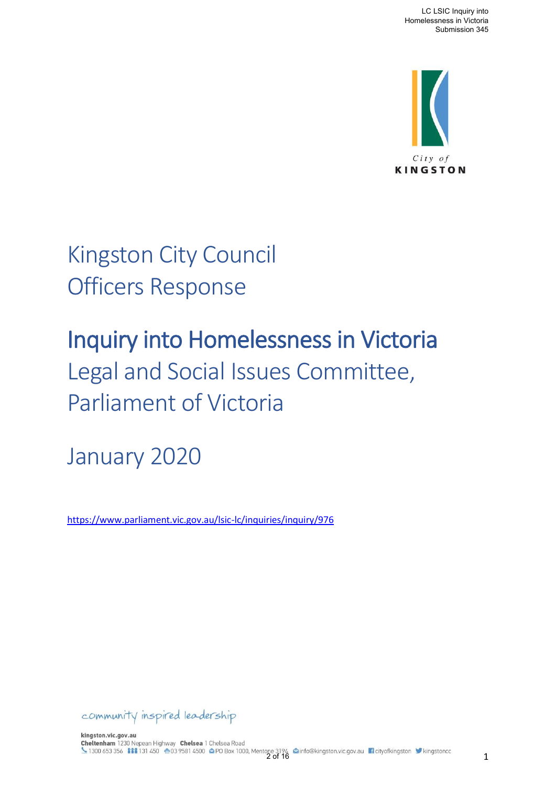

Kingston City Council Officers Response

# Inquiry into Homelessness in Victoria Legal and Social Issues Committee, Parliament of Victoria

January 2020

<https://www.parliament.vic.gov.au/lsic-lc/inquiries/inquiry/976>

community inspired leadership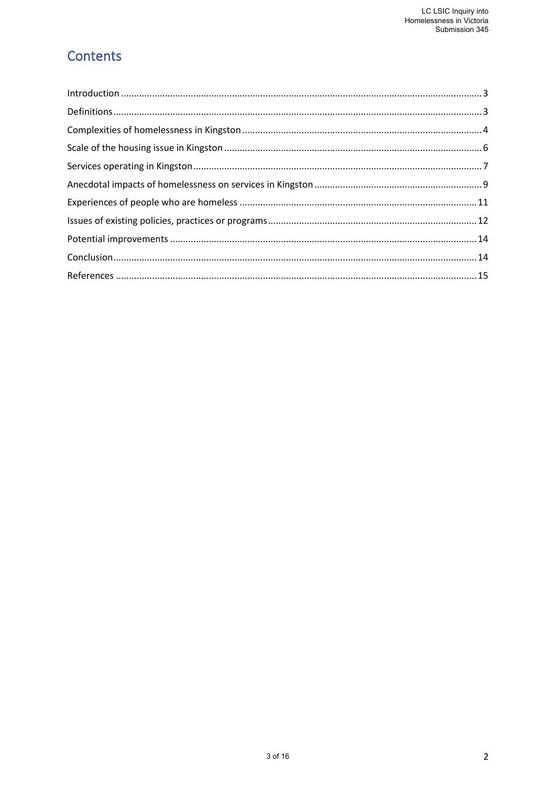# Contents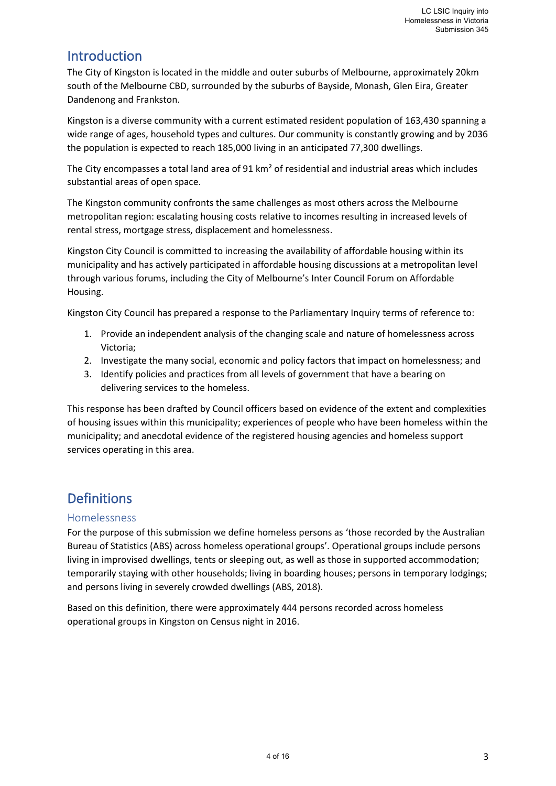# <span id="page-3-0"></span>Introduction

The City of Kingston is located in the middle and outer suburbs of Melbourne, approximately 20km south of the Melbourne CBD, surrounded by the suburbs of Bayside, Monash, Glen Eira, Greater Dandenong and Frankston.

Kingston is a diverse community with a current estimated resident population of 163,430 spanning a wide range of ages, household types and cultures. Our community is constantly growing and by 2036 the population is expected to reach 185,000 living in an anticipated 77,300 dwellings.

The City encompasses a total land area of 91 km² of residential and industrial areas which includes substantial areas of open space.

The Kingston community confronts the same challenges as most others across the Melbourne metropolitan region: escalating housing costs relative to incomes resulting in increased levels of rental stress, mortgage stress, displacement and homelessness.

Kingston City Council is committed to increasing the availability of affordable housing within its municipality and has actively participated in affordable housing discussions at a metropolitan level through various forums, including the City of Melbourne's Inter Council Forum on Affordable Housing.

Kingston City Council has prepared a response to the Parliamentary Inquiry terms of reference to:

- 1. Provide an independent analysis of the changing scale and nature of homelessness across Victoria;
- 2. Investigate the many social, economic and policy factors that impact on homelessness; and
- 3. Identify policies and practices from all levels of government that have a bearing on delivering services to the homeless.

This response has been drafted by Council officers based on evidence of the extent and complexities of housing issues within this municipality; experiences of people who have been homeless within the municipality; and anecdotal evidence of the registered housing agencies and homeless support services operating in this area.

# <span id="page-3-1"></span>Definitions

# Homelessness

For the purpose of this submission we define homeless persons as 'those recorded by the Australian Bureau of Statistics (ABS) across homeless operational groups'. Operational groups include persons living in improvised dwellings, tents or sleeping out, as well as those in supported accommodation; temporarily staying with other households; living in boarding houses; persons in temporary lodgings; and persons living in severely crowded dwellings (ABS, 2018).

Based on this definition, there were approximately 444 persons recorded across homeless operational groups in Kingston on Census night in 2016.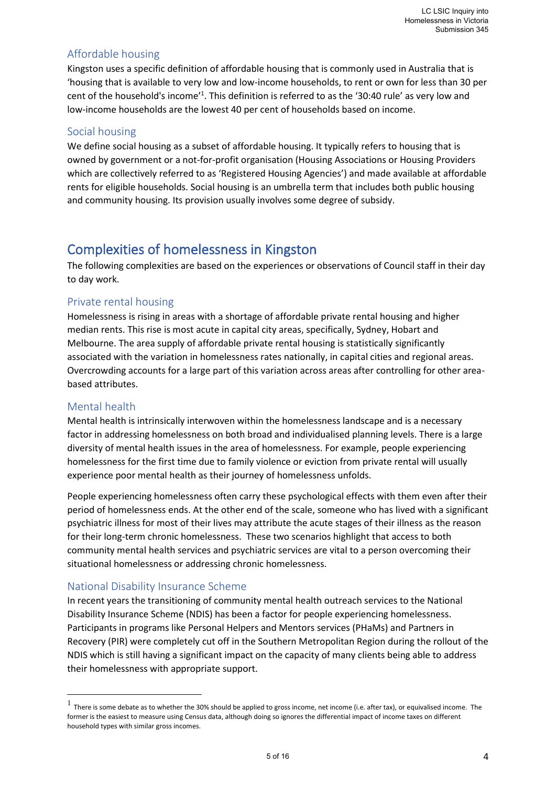# Affordable housing

Kingston uses a specific definition of affordable housing that is commonly used in Australia that is 'housing that is available to very low and low-income households, to rent or own for less than 30 per cent of the household's income<sup>'1</sup>. This definition is referred to as the '30:40 rule' as very low and low-income households are the lowest 40 per cent of households based on income.

## Social housing

We define social housing as a subset of affordable housing. It typically refers to housing that is owned by government or a not-for-profit organisation (Housing Associations or Housing Providers which are collectively referred to as 'Registered Housing Agencies') and made available at affordable rents for eligible households. Social housing is an umbrella term that includes both public housing and community housing. Its provision usually involves some degree of subsidy.

# <span id="page-4-0"></span>Complexities of homelessness in Kingston

The following complexities are based on the experiences or observations of Council staff in their day to day work.

# Private rental housing

Homelessness is rising in areas with a shortage of affordable private rental housing and higher median rents. This rise is most acute in capital city areas, specifically, Sydney, Hobart and Melbourne. The area supply of affordable private rental housing is statistically significantly associated with the variation in homelessness rates nationally, in capital cities and regional areas. Overcrowding accounts for a large part of this variation across areas after controlling for other areabased attributes.

# Mental health

Mental health is intrinsically interwoven within the homelessness landscape and is a necessary factor in addressing homelessness on both broad and individualised planning levels. There is a large diversity of mental health issues in the area of homelessness. For example, people experiencing homelessness for the first time due to family violence or eviction from private rental will usually experience poor mental health as their journey of homelessness unfolds.

People experiencing homelessness often carry these psychological effects with them even after their period of homelessness ends. At the other end of the scale, someone who has lived with a significant psychiatric illness for most of their lives may attribute the acute stages of their illness as the reason for their long-term chronic homelessness. These two scenarios highlight that access to both community mental health services and psychiatric services are vital to a person overcoming their situational homelessness or addressing chronic homelessness.

# National Disability Insurance Scheme

In recent years the transitioning of community mental health outreach services to the National Disability Insurance Scheme (NDIS) has been a factor for people experiencing homelessness. Participants in programs like Personal Helpers and Mentors services (PHaMs) and Partners in Recovery (PIR) were completely cut off in the Southern Metropolitan Region during the rollout of the NDIS which is still having a significant impact on the capacity of many clients being able to address their homelessness with appropriate support.

<sup>1</sup> There is some debate as to whether the 30% should be applied to gross income, net income (i.e. after tax), or equivalised income. The former is the easiest to measure using Census data, although doing so ignores the differential impact of income taxes on different household types with similar gross incomes.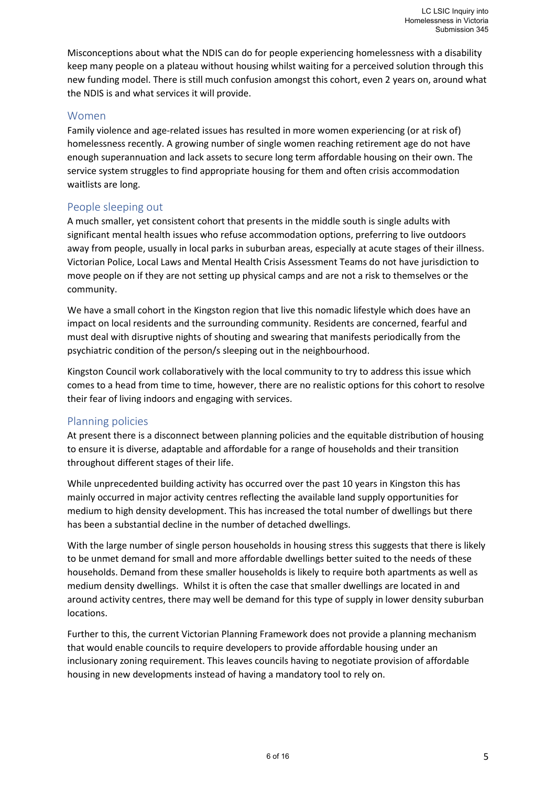Misconceptions about what the NDIS can do for people experiencing homelessness with a disability keep many people on a plateau without housing whilst waiting for a perceived solution through this new funding model. There is still much confusion amongst this cohort, even 2 years on, around what the NDIS is and what services it will provide.

#### Women

Family violence and age-related issues has resulted in more women experiencing (or at risk of) homelessness recently. A growing number of single women reaching retirement age do not have enough superannuation and lack assets to secure long term affordable housing on their own. The service system struggles to find appropriate housing for them and often crisis accommodation waitlists are long.

#### People sleeping out

A much smaller, yet consistent cohort that presents in the middle south is single adults with significant mental health issues who refuse accommodation options, preferring to live outdoors away from people, usually in local parks in suburban areas, especially at acute stages of their illness. Victorian Police, Local Laws and Mental Health Crisis Assessment Teams do not have jurisdiction to move people on if they are not setting up physical camps and are not a risk to themselves or the community.

We have a small cohort in the Kingston region that live this nomadic lifestyle which does have an impact on local residents and the surrounding community. Residents are concerned, fearful and must deal with disruptive nights of shouting and swearing that manifests periodically from the psychiatric condition of the person/s sleeping out in the neighbourhood.

Kingston Council work collaboratively with the local community to try to address this issue which comes to a head from time to time, however, there are no realistic options for this cohort to resolve their fear of living indoors and engaging with services.

#### Planning policies

At present there is a disconnect between planning policies and the equitable distribution of housing to ensure it is diverse, adaptable and affordable for a range of households and their transition throughout different stages of their life.

While unprecedented building activity has occurred over the past 10 years in Kingston this has mainly occurred in major activity centres reflecting the available land supply opportunities for medium to high density development. This has increased the total number of dwellings but there has been a substantial decline in the number of detached dwellings.

With the large number of single person households in housing stress this suggests that there is likely to be unmet demand for small and more affordable dwellings better suited to the needs of these households. Demand from these smaller households is likely to require both apartments as well as medium density dwellings. Whilst it is often the case that smaller dwellings are located in and around activity centres, there may well be demand for this type of supply in lower density suburban locations.

Further to this, the current Victorian Planning Framework does not provide a planning mechanism that would enable councils to require developers to provide affordable housing under an inclusionary zoning requirement. This leaves councils having to negotiate provision of affordable housing in new developments instead of having a mandatory tool to rely on.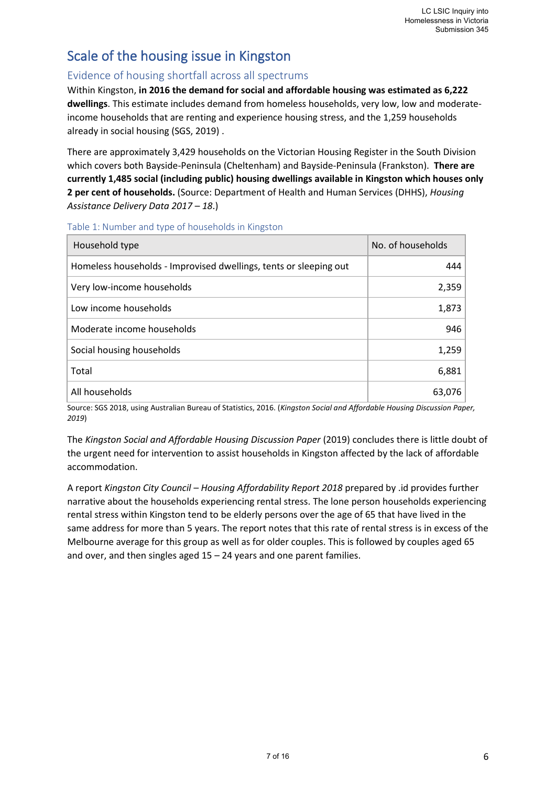# <span id="page-6-0"></span>Scale of the housing issue in Kingston

# Evidence of housing shortfall across all spectrums

Within Kingston, **in 2016 the demand for social and affordable housing was estimated as 6,222 dwellings**. This estimate includes demand from homeless households, very low, low and moderateincome households that are renting and experience housing stress, and the 1,259 households already in social housing (SGS, 2019) .

There are approximately 3,429 households on the Victorian Housing Register in the South Division which covers both Bayside-Peninsula (Cheltenham) and Bayside-Peninsula (Frankston). **There are currently 1,485 social (including public) housing dwellings available in Kingston which houses only 2 per cent of households.** (Source: Department of Health and Human Services (DHHS), *Housing Assistance Delivery Data 2017 – 18*.)

| Household type                                                    | No. of households |
|-------------------------------------------------------------------|-------------------|
| Homeless households - Improvised dwellings, tents or sleeping out | 444               |
| Very low-income households                                        | 2,359             |
| Low income households                                             | 1,873             |
| Moderate income households                                        | 946               |
| Social housing households                                         | 1,259             |
| Total                                                             | 6,881             |
| All households                                                    | 63,076            |

Table 1: Number and type of households in Kingston

Source: SGS 2018, using Australian Bureau of Statistics, 2016. (*Kingston Social and Affordable Housing Discussion Paper, 2019*)

The *Kingston Social and Affordable Housing Discussion Paper* (2019) concludes there is little doubt of the urgent need for intervention to assist households in Kingston affected by the lack of affordable accommodation.

A report *Kingston City Council – Housing Affordability Report 2018* prepared by .id provides further narrative about the households experiencing rental stress. The lone person households experiencing rental stress within Kingston tend to be elderly persons over the age of 65 that have lived in the same address for more than 5 years. The report notes that this rate of rental stress is in excess of the Melbourne average for this group as well as for older couples. This is followed by couples aged 65 and over, and then singles aged 15 – 24 years and one parent families.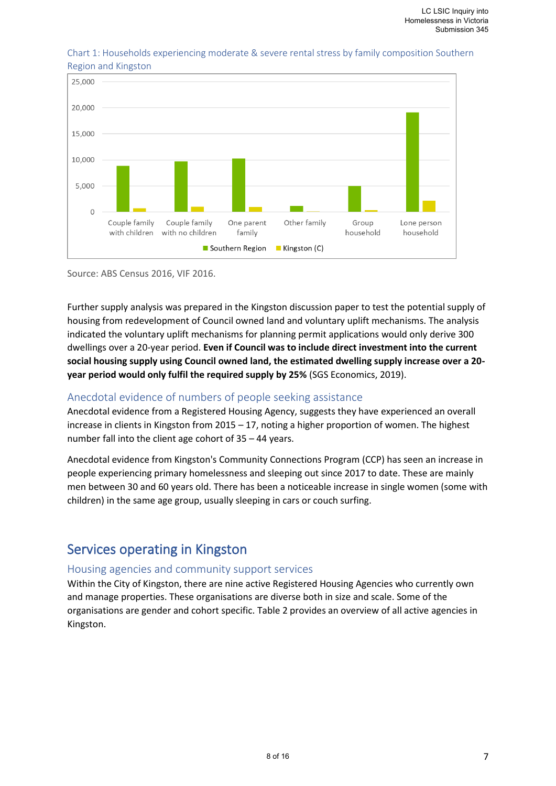

#### Chart 1: Households experiencing moderate & severe rental stress by family composition Southern Region and Kingston

Source: ABS Census 2016, VIF 2016.

Further supply analysis was prepared in the Kingston discussion paper to test the potential supply of housing from redevelopment of Council owned land and voluntary uplift mechanisms. The analysis indicated the voluntary uplift mechanisms for planning permit applications would only derive 300 dwellings over a 20-year period. **Even if Council was to include direct investment into the current social housing supply using Council owned land, the estimated dwelling supply increase over a 20 year period would only fulfil the required supply by 25%** (SGS Economics, 2019).

# Anecdotal evidence of numbers of people seeking assistance

Anecdotal evidence from a Registered Housing Agency, suggests they have experienced an overall increase in clients in Kingston from 2015 – 17, noting a higher proportion of women. The highest number fall into the client age cohort of 35 – 44 years.

Anecdotal evidence from Kingston's Community Connections Program (CCP) has seen an increase in people experiencing primary homelessness and sleeping out since 2017 to date. These are mainly men between 30 and 60 years old. There has been a noticeable increase in single women (some with children) in the same age group, usually sleeping in cars or couch surfing.

# <span id="page-7-0"></span>Services operating in Kingston

# Housing agencies and community support services

Within the City of Kingston, there are nine active Registered Housing Agencies who currently own and manage properties. These organisations are diverse both in size and scale. Some of the organisations are gender and cohort specific. Table 2 provides an overview of all active agencies in Kingston.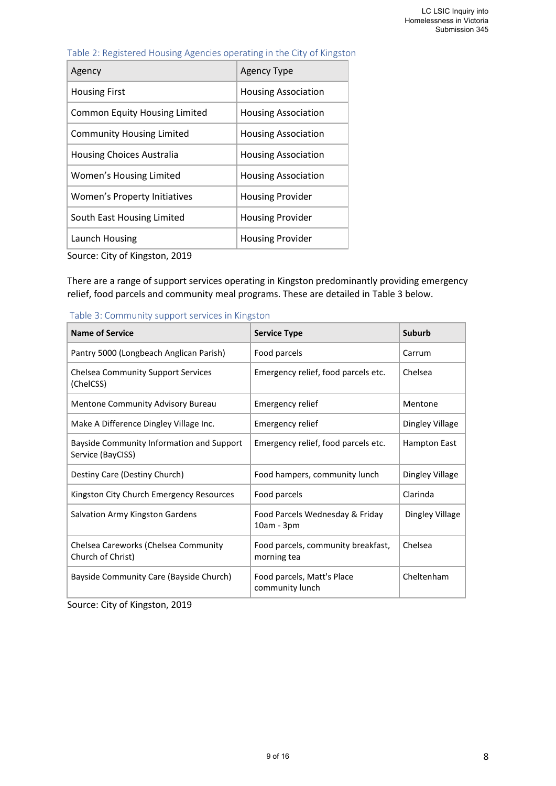| Table 2: Registered Housing Agencies operating in the City of Kingston |  |  |  |  |
|------------------------------------------------------------------------|--|--|--|--|
|------------------------------------------------------------------------|--|--|--|--|

| Agency                               | <b>Agency Type</b>         |
|--------------------------------------|----------------------------|
| <b>Housing First</b>                 | <b>Housing Association</b> |
| <b>Common Equity Housing Limited</b> | <b>Housing Association</b> |
| <b>Community Housing Limited</b>     | <b>Housing Association</b> |
| Housing Choices Australia            | <b>Housing Association</b> |
| Women's Housing Limited              | Housing Association        |
| Women's Property Initiatives         | <b>Housing Provider</b>    |
| South East Housing Limited           | <b>Housing Provider</b>    |
| Launch Housing                       | <b>Housing Provider</b>    |

Source: City of Kingston, 2019

There are a range of support services operating in Kingston predominantly providing emergency relief, food parcels and community meal programs. These are detailed in Table 3 below.

| <b>Name of Service</b>                                         | <b>Service Type</b>                               | Suburb          |
|----------------------------------------------------------------|---------------------------------------------------|-----------------|
| Pantry 5000 (Longbeach Anglican Parish)                        | Food parcels                                      | Carrum          |
| <b>Chelsea Community Support Services</b><br>(ChelCSS)         | Emergency relief, food parcels etc.               | Chelsea         |
| <b>Mentone Community Advisory Bureau</b>                       | Emergency relief                                  | Mentone         |
| Make A Difference Dingley Village Inc.                         | Emergency relief                                  | Dingley Village |
| Bayside Community Information and Support<br>Service (BayCISS) | Emergency relief, food parcels etc.               | Hampton East    |
| Destiny Care (Destiny Church)                                  | Food hampers, community lunch                     | Dingley Village |
| Kingston City Church Emergency Resources                       | Food parcels                                      | Clarinda        |
| Salvation Army Kingston Gardens                                | Food Parcels Wednesday & Friday<br>$10am - 3pm$   | Dingley Village |
| Chelsea Careworks (Chelsea Community<br>Church of Christ)      | Food parcels, community breakfast,<br>morning tea | Chelsea         |
| Bayside Community Care (Bayside Church)                        | Food parcels, Matt's Place<br>community lunch     | Cheltenham      |

Table 3: Community support services in Kingston

Source: City of Kingston, 2019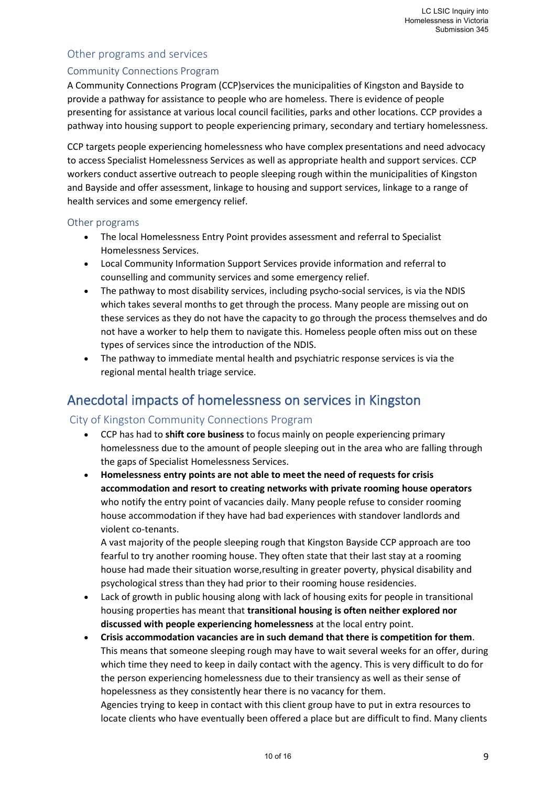# Other programs and services

## Community Connections Program

A Community Connections Program (CCP)services the municipalities of Kingston and Bayside to provide a pathway for assistance to people who are homeless. There is evidence of people presenting for assistance at various local council facilities, parks and other locations. CCP provides a pathway into housing support to people experiencing primary, secondary and tertiary homelessness.

CCP targets people experiencing homelessness who have complex presentations and need advocacy to access Specialist Homelessness Services as well as appropriate health and support services. CCP workers conduct assertive outreach to people sleeping rough within the municipalities of Kingston and Bayside and offer assessment, linkage to housing and support services, linkage to a range of health services and some emergency relief.

## Other programs

- The local Homelessness Entry Point provides assessment and referral to Specialist Homelessness Services.
- Local Community Information Support Services provide information and referral to counselling and community services and some emergency relief.
- The pathway to most disability services, including psycho-social services, is via the NDIS which takes several months to get through the process. Many people are missing out on these services as they do not have the capacity to go through the process themselves and do not have a worker to help them to navigate this. Homeless people often miss out on these types of services since the introduction of the NDIS.
- The pathway to immediate mental health and psychiatric response services is via the regional mental health triage service.

# <span id="page-9-0"></span>Anecdotal impacts of homelessness on services in Kingston

# City of Kingston Community Connections Program

- CCP has had to **shift core business** to focus mainly on people experiencing primary homelessness due to the amount of people sleeping out in the area who are falling through the gaps of Specialist Homelessness Services.
- **Homelessness entry points are not able to meet the need of requests for crisis accommodation and resort to creating networks with private rooming house operators** who notify the entry point of vacancies daily. Many people refuse to consider rooming house accommodation if they have had bad experiences with standover landlords and violent co-tenants.

A vast majority of the people sleeping rough that Kingston Bayside CCP approach are too fearful to try another rooming house. They often state that their last stay at a rooming house had made their situation worse,resulting in greater poverty, physical disability and psychological stress than they had prior to their rooming house residencies.

- Lack of growth in public housing along with lack of housing exits for people in transitional housing properties has meant that **transitional housing is often neither explored nor discussed with people experiencing homelessness** at the local entry point.
- **Crisis accommodation vacancies are in such demand that there is competition for them**. This means that someone sleeping rough may have to wait several weeks for an offer, during which time they need to keep in daily contact with the agency. This is very difficult to do for the person experiencing homelessness due to their transiency as well as their sense of hopelessness as they consistently hear there is no vacancy for them.

Agencies trying to keep in contact with this client group have to put in extra resources to locate clients who have eventually been offered a place but are difficult to find. Many clients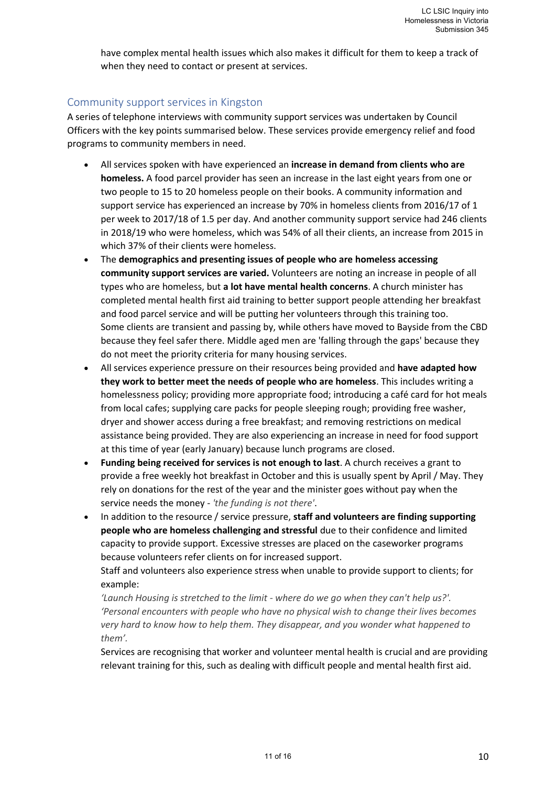have complex mental health issues which also makes it difficult for them to keep a track of when they need to contact or present at services.

## Community support services in Kingston

A series of telephone interviews with community support services was undertaken by Council Officers with the key points summarised below. These services provide emergency relief and food programs to community members in need.

- All services spoken with have experienced an **increase in demand from clients who are homeless.** A food parcel provider has seen an increase in the last eight years from one or two people to 15 to 20 homeless people on their books. A community information and support service has experienced an increase by 70% in homeless clients from 2016/17 of 1 per week to 2017/18 of 1.5 per day. And another community support service had 246 clients in 2018/19 who were homeless, which was 54% of all their clients, an increase from 2015 in which 37% of their clients were homeless.
- The **demographics and presenting issues of people who are homeless accessing community support services are varied.** Volunteers are noting an increase in people of all types who are homeless, but **a lot have mental health concerns**. A church minister has completed mental health first aid training to better support people attending her breakfast and food parcel service and will be putting her volunteers through this training too. Some clients are transient and passing by, while others have moved to Bayside from the CBD because they feel safer there. Middle aged men are 'falling through the gaps' because they do not meet the priority criteria for many housing services.
- All services experience pressure on their resources being provided and **have adapted how they work to better meet the needs of people who are homeless**. This includes writing a homelessness policy; providing more appropriate food; introducing a café card for hot meals from local cafes; supplying care packs for people sleeping rough; providing free washer, dryer and shower access during a free breakfast; and removing restrictions on medical assistance being provided. They are also experiencing an increase in need for food support at this time of year (early January) because lunch programs are closed.
- **Funding being received for services is not enough to last**. A church receives a grant to provide a free weekly hot breakfast in October and this is usually spent by April / May. They rely on donations for the rest of the year and the minister goes without pay when the service needs the money - *'the funding is not there'*.
- In addition to the resource / service pressure, **staff and volunteers are finding supporting people who are homeless challenging and stressful** due to their confidence and limited capacity to provide support. Excessive stresses are placed on the caseworker programs because volunteers refer clients on for increased support.

Staff and volunteers also experience stress when unable to provide support to clients; for example:

*'Launch Housing is stretched to the limit - where do we go when they can't help us?'. 'Personal encounters with people who have no physical wish to change their lives becomes very hard to know how to help them. They disappear, and you wonder what happened to them'.*

Services are recognising that worker and volunteer mental health is crucial and are providing relevant training for this, such as dealing with difficult people and mental health first aid.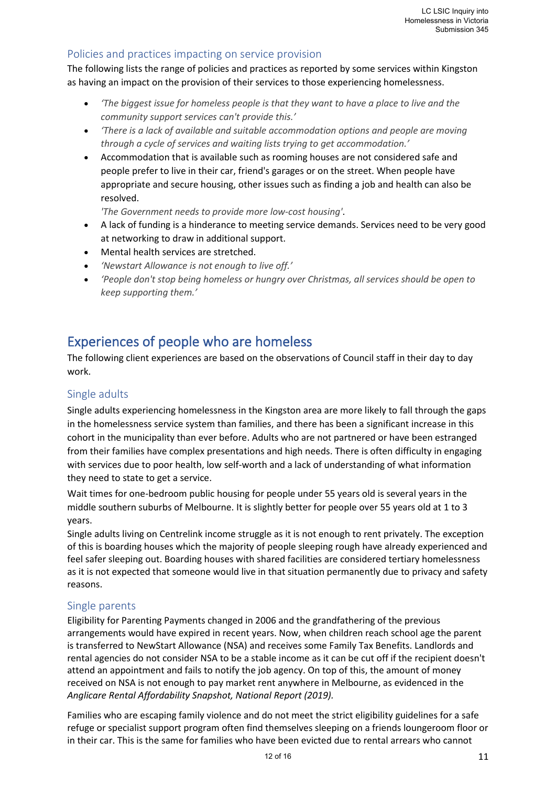# Policies and practices impacting on service provision

The following lists the range of policies and practices as reported by some services within Kingston as having an impact on the provision of their services to those experiencing homelessness.

- *'The biggest issue for homeless people is that they want to have a place to live and the community support services can't provide this.'*
- *'There is a lack of available and suitable accommodation options and people are moving through a cycle of services and waiting lists trying to get accommodation.'*
- Accommodation that is available such as rooming houses are not considered safe and people prefer to live in their car, friend's garages or on the street. When people have appropriate and secure housing, other issues such as finding a job and health can also be resolved.

*'The Government needs to provide more low-cost housing'*.

- A lack of funding is a hinderance to meeting service demands. Services need to be very good at networking to draw in additional support.
- Mental health services are stretched.
- *'Newstart Allowance is not enough to live off.'*
- *'People don't stop being homeless or hungry over Christmas, all services should be open to keep supporting them.'*

# <span id="page-11-0"></span>Experiences of people who are homeless

The following client experiences are based on the observations of Council staff in their day to day work.

# Single adults

Single adults experiencing homelessness in the Kingston area are more likely to fall through the gaps in the homelessness service system than families, and there has been a significant increase in this cohort in the municipality than ever before. Adults who are not partnered or have been estranged from their families have complex presentations and high needs. There is often difficulty in engaging with services due to poor health, low self-worth and a lack of understanding of what information they need to state to get a service.

Wait times for one-bedroom public housing for people under 55 years old is several years in the middle southern suburbs of Melbourne. It is slightly better for people over 55 years old at 1 to 3 years.

Single adults living on Centrelink income struggle as it is not enough to rent privately. The exception of this is boarding houses which the majority of people sleeping rough have already experienced and feel safer sleeping out. Boarding houses with shared facilities are considered tertiary homelessness as it is not expected that someone would live in that situation permanently due to privacy and safety reasons.

# Single parents

Eligibility for Parenting Payments changed in 2006 and the grandfathering of the previous arrangements would have expired in recent years. Now, when children reach school age the parent is transferred to NewStart Allowance (NSA) and receives some Family Tax Benefits. Landlords and rental agencies do not consider NSA to be a stable income as it can be cut off if the recipient doesn't attend an appointment and fails to notify the job agency. On top of this, the amount of money received on NSA is not enough to pay market rent anywhere in Melbourne, as evidenced in the *Anglicare Rental Affordability Snapshot, National Report (2019).*

Families who are escaping family violence and do not meet the strict eligibility guidelines for a safe refuge or specialist support program often find themselves sleeping on a friends loungeroom floor or in their car. This is the same for families who have been evicted due to rental arrears who cannot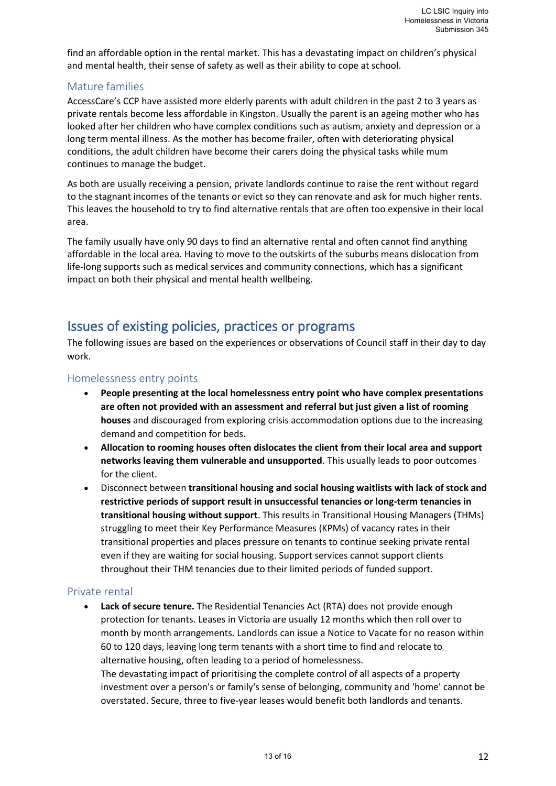find an affordable option in the rental market. This has a devastating impact on children's physical and mental health, their sense of safety as well as their ability to cope at school.

## Mature families

AccessCare's CCP have assisted more elderly parents with adult children in the past 2 to 3 years as private rentals become less affordable in Kingston. Usually the parent is an ageing mother who has looked after her children who have complex conditions such as autism, anxiety and depression or a long term mental illness. As the mother has become frailer, often with deteriorating physical conditions, the adult children have become their carers doing the physical tasks while mum continues to manage the budget.

As both are usually receiving a pension, private landlords continue to raise the rent without regard to the stagnant incomes of the tenants or evict so they can renovate and ask for much higher rents. This leaves the household to try to find alternative rentals that are often too expensive in their local area.

The family usually have only 90 days to find an alternative rental and often cannot find anything affordable in the local area. Having to move to the outskirts of the suburbs means dislocation from life-long supports such as medical services and community connections, which has a significant impact on both their physical and mental health wellbeing.

# <span id="page-12-0"></span>Issues of existing policies, practices or programs

The following issues are based on the experiences or observations of Council staff in their day to day work.

#### Homelessness entry points

- **People presenting at the local homelessness entry point who have complex presentations are often not provided with an assessment and referral but just given a list of rooming houses** and discouraged from exploring crisis accommodation options due to the increasing demand and competition for beds.
- **Allocation to rooming houses often dislocates the client from their local area and support networks leaving them vulnerable and unsupported**. This usually leads to poor outcomes for the client.
- Disconnect between **transitional housing and social housing waitlists with lack of stock and restrictive periods of support result in unsuccessful tenancies or long-term tenancies in transitional housing without support**. This results in Transitional Housing Managers (THMs) struggling to meet their Key Performance Measures (KPMs) of vacancy rates in their transitional properties and places pressure on tenants to continue seeking private rental even if they are waiting for social housing. Support services cannot support clients throughout their THM tenancies due to their limited periods of funded support.

#### Private rental

• **Lack of secure tenure.** The Residential Tenancies Act (RTA) does not provide enough protection for tenants. Leases in Victoria are usually 12 months which then roll over to month by month arrangements. Landlords can issue a Notice to Vacate for no reason within 60 to 120 days, leaving long term tenants with a short time to find and relocate to alternative housing, often leading to a period of homelessness. The devastating impact of prioritising the complete control of all aspects of a property

investment over a person's or family's sense of belonging, community and 'home' cannot be overstated. Secure, three to five-year leases would benefit both landlords and tenants.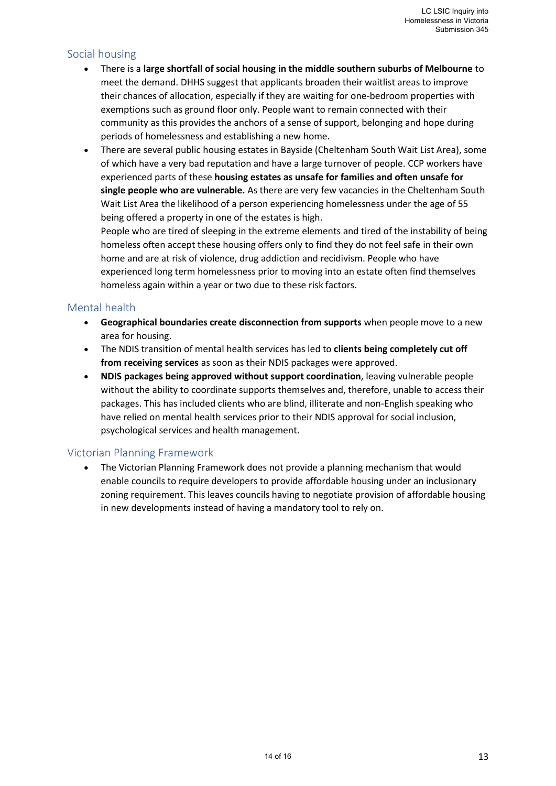# Social housing

- There is a **large shortfall of social housing in the middle southern suburbs of Melbourne** to meet the demand. DHHS suggest that applicants broaden their waitlist areas to improve their chances of allocation, especially if they are waiting for one-bedroom properties with exemptions such as ground floor only. People want to remain connected with their community as this provides the anchors of a sense of support, belonging and hope during periods of homelessness and establishing a new home.
- There are several public housing estates in Bayside (Cheltenham South Wait List Area), some of which have a very bad reputation and have a large turnover of people. CCP workers have experienced parts of these **housing estates as unsafe for families and often unsafe for single people who are vulnerable.** As there are very few vacancies in the Cheltenham South Wait List Area the likelihood of a person experiencing homelessness under the age of 55 being offered a property in one of the estates is high.

People who are tired of sleeping in the extreme elements and tired of the instability of being homeless often accept these housing offers only to find they do not feel safe in their own home and are at risk of violence, drug addiction and recidivism. People who have experienced long term homelessness prior to moving into an estate often find themselves homeless again within a year or two due to these risk factors.

## Mental health

- **Geographical boundaries create disconnection from supports** when people move to a new area for housing.
- The NDIS transition of mental health services has led to **clients being completely cut off from receiving services** as soon as their NDIS packages were approved.
- **NDIS packages being approved without support coordination**, leaving vulnerable people without the ability to coordinate supports themselves and, therefore, unable to access their packages. This has included clients who are blind, illiterate and non-English speaking who have relied on mental health services prior to their NDIS approval for social inclusion, psychological services and health management.

# Victorian Planning Framework

• The Victorian Planning Framework does not provide a planning mechanism that would enable councils to require developers to provide affordable housing under an inclusionary zoning requirement. This leaves councils having to negotiate provision of affordable housing in new developments instead of having a mandatory tool to rely on.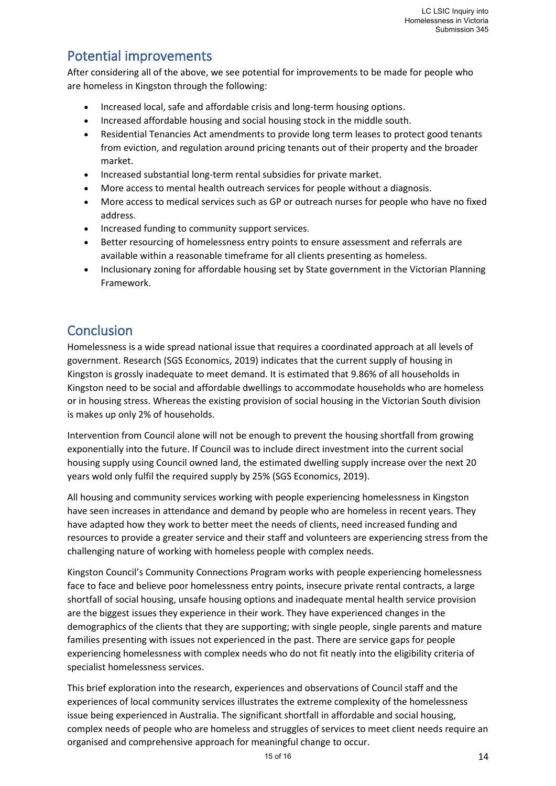# <span id="page-14-0"></span>Potential improvements

After considering all of the above, we see potential for improvements to be made for people who are homeless in Kingston through the following:

- Increased local, safe and affordable crisis and long-term housing options.
- Increased affordable housing and social housing stock in the middle south.
- Residential Tenancies Act amendments to provide long term leases to protect good tenants from eviction, and regulation around pricing tenants out of their property and the broader market.
- Increased substantial long-term rental subsidies for private market.
- More access to mental health outreach services for people without a diagnosis.
- More access to medical services such as GP or outreach nurses for people who have no fixed address.
- Increased funding to community support services.
- Better resourcing of homelessness entry points to ensure assessment and referrals are available within a reasonable timeframe for all clients presenting as homeless.
- Inclusionary zoning for affordable housing set by State government in the Victorian Planning Framework.

# <span id="page-14-1"></span>**Conclusion**

Homelessness is a wide spread national issue that requires a coordinated approach at all levels of government. Research (SGS Economics, 2019) indicates that the current supply of housing in Kingston is grossly inadequate to meet demand. It is estimated that 9.86% of all households in Kingston need to be social and affordable dwellings to accommodate households who are homeless or in housing stress. Whereas the existing provision of social housing in the Victorian South division is makes up only 2% of households.

Intervention from Council alone will not be enough to prevent the housing shortfall from growing exponentially into the future. If Council was to include direct investment into the current social housing supply using Council owned land, the estimated dwelling supply increase over the next 20 years wold only fulfil the required supply by 25% (SGS Economics, 2019).

All housing and community services working with people experiencing homelessness in Kingston have seen increases in attendance and demand by people who are homeless in recent years. They have adapted how they work to better meet the needs of clients, need increased funding and resources to provide a greater service and their staff and volunteers are experiencing stress from the challenging nature of working with homeless people with complex needs.

Kingston Council's Community Connections Program works with people experiencing homelessness face to face and believe poor homelessness entry points, insecure private rental contracts, a large shortfall of social housing, unsafe housing options and inadequate mental health service provision are the biggest issues they experience in their work. They have experienced changes in the demographics of the clients that they are supporting; with single people, single parents and mature families presenting with issues not experienced in the past. There are service gaps for people experiencing homelessness with complex needs who do not fit neatly into the eligibility criteria of specialist homelessness services.

This brief exploration into the research, experiences and observations of Council staff and the experiences of local community services illustrates the extreme complexity of the homelessness issue being experienced in Australia. The significant shortfall in affordable and social housing, complex needs of people who are homeless and struggles of services to meet client needs require an organised and comprehensive approach for meaningful change to occur.